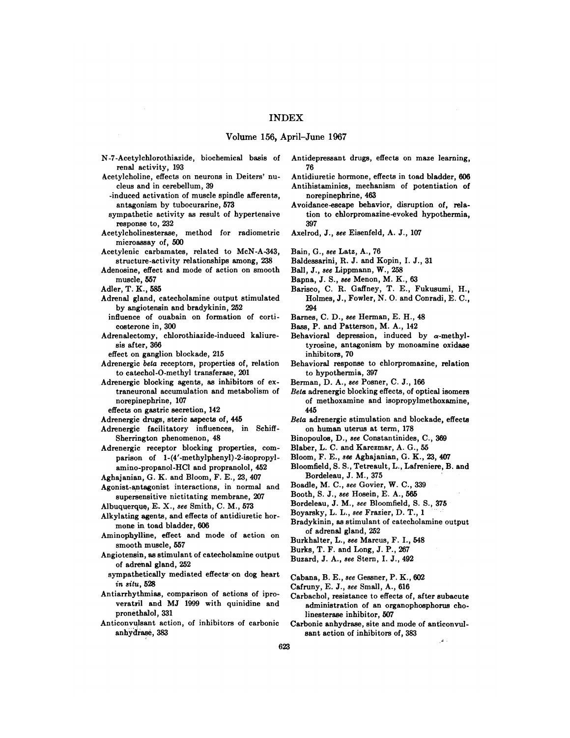## Volume 156, April-June 1967

- N-7-Acetylchlorothiazide, biochemical basis of renal activity, 193
- Acetyicholine, effects on neurons in Deiters' nu cleus and in cerebellum, 39
- -induced activation of muscle spindle afferents, antagonism by tubocurarine, 573
- sympathetic activity as result of hypertensive response to, 232
- Acetyicholinesterase, method for radiometric microassay of, 500
- Acetylenic carbamates, related to McN-A-343, structure-activity relationships among, 238
- Adenosine, effect and mode of action on smooth **muscle,** 557
- Adler, T. K., 585
- Adrenal gland, catecholamine output stimulated by angiotensin and bradykinin, 252
- influence of ouabain on formation of corti costerone in, 300
- Adrenalectomy, chlorothiazide-induced kaliuresis after, 366
- effect on ganglion blockade, 215
- Adrenergic *beta* receptors, properties of, relation to catechol-O-methyl transferase, 201
- Adrenergic blocking agents, as inhibitors of extraneuronal accumulation and metabolism of norepinephrine, 107
	- effects on gastric secretion, 142
- Adrenergic drugs, steric aspects of, 445
- Adrenergic facilitatory influences, in Schiff-Sherrington phenomenon, 48
- Adrenergic receptor blocking properties, comparison of 1-(4'-methylphenyl)-2-isopropylamino-propanol-HC1 and propranolol, 452
- Aghajanian, G. K. and Bloom, F. E., 23, 407
- Agonist-antagonist interactions, in normal and supersensitive nictitating membrane, 207
- Albuquerque, E. X., see Smith, C. M., 573
- Alkylating agents, and effects of antidiuretic hor mone in toad bladder, 606
- Aminobylline, effect and mode of action on smooth muscle, 557
- Angiotensin, as stimulant of catecholamine output of adrenal gland, 252
- sympathetically mediated effects on dog heart *in situ,* 528
- Antiarrhythmias, comparison of actions of iproveratril and MJ 1999 with quinidine and pronethalol, 331
- Anticonvulsant action, of inhibitors of carbonic anhydrase, 383
- Antidepressant drugs, effects on maze learning, 76
- Antidiuretic hormone, effects in toad bladder, 606 Antihistaminics, mechanism of potentiation of norepinephrine, 463
- Avoidance-escape behavior, disruption of, relation to chiorpromazine-evoked hypothermia, 397
- Axelrod, J., *see* **Eisenfeld, A. J.,** 107
- Bain, G., *see* Latz, A., 76
- **Baldessarini, R.** *J.* and Kopin, I. *J.,* 31
- Ball, *J., see* Lippmann, W., 258
- Bapna, J. S., *see* Menon, M. K., 63
- Barisco, C. R. Gaffney, T. E., Fukusumi, H., Holmes, J., Fowler, N. 0. and Conradi, E. C., 294
- Barnes, C. D., *see* Herman, E. H., 48
- Bass, P. and Patterson, M. A., 142
- Behavioral depression, induced by  $\alpha$ -methyltyrosine, antagonism by monoamine oxidase inhibitors, 70
- Behavioral response to chlorpromazine, relation to hypothermia, 397
- Berman, D. A., *see* Posner, C. J., 166
- *Beta* adrenergic blocking effects, of optical isomers of methoxamine and isopropylmethoxamine, 445
- *Beta* adrenergic stimulation and blockade, effects on human uterus at term, 178
- Binopoulos, D., *see* Constantinides, C., 369
- Blaber, L. C. and Karczmar, A. G., 55
- Bloom, F. E., *see* Aghajanian, G. K., 23, 407
- Bloomfield, S. S., Tetreault, L., Lafreniere, B. and Bordeleau, J. M., 375
- Boadle, M. C., *see* Govier, W. C., 339
- Booth, S. *J., see* **Hosein, E. A., 565**
- Bordeleau, J. M., *see* Bloomfield, S. S., 375
- Boyarsky, L. L., *see* Frazier, D. T., 1
- Bradykinin, as stimulant of catecholamine output of adrenal gland, 252
- Burkhalter, L., *see* Marcus, F. I., 548
- Burks, T. F. and Long, J. P., 267
- Buzard, J. A., *see* Stern, I. J., 492

Cabana, B. E., *see* Gessner, P. K., 602

- Cafruny, E. *J., see* Small, A., 616
- Carbachol, resistance to effects of, after subacute administration of an organophosphorus cholinesterase inhibitor, 507
- Carbonic anhydrase, site and mode of anticonvul sant action of inhibitors of, 383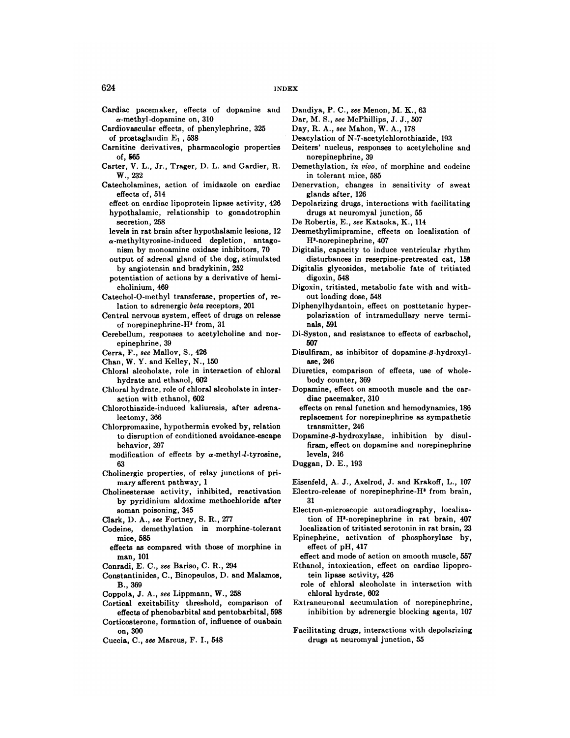Cardiac pacemaker, effects of dopamine and  $\alpha$ -methyl-dopamine on, 310

Cardiovascular effects, of phenylephrine, 325 of prostaglandin  $E_1$ , 538

- Carnitine derivatives, pharmacologic properties of, 565
- Carter, V. L., Jr., Trager, D. L. and Gardier, R. **w.,** 232
- Catecholamines, action of imidazole on cardiac effects of, 514
- effect on cardiac lipoprotein lipase activity, 426 hypothalamic, relationship to gonadotrophin secretion, 258
- levels in ratbrain after hypothalamic lesions, 12  $\alpha$ -methyltyrosine-induced depletion, antagonism by monoamine oxidase inhibitors, 70
- output of adrenal gland of the dog, stimulated by angiotensin and bradykinin, 252
- potentiation of actions by a derivative of hemicholinium, 469
- Catechoi-O-methyi transferase, properties of, relation to adrenergic *beta* receptors, 201
- Central nervous system, effect of drugs on release of norepinephrine-H' from, 31
- Cerebellum, responses to acetylcholine and nor epinephrine, 39
- Cerra, F., *see* Mallov, S., 426
- Chan, W. Y. and Kelley, N., 150
- Chloral alcoholate, role in interaction of chloral hydrate and ethanol, 602
- Chloral hydrate, role of chloral alcoholate in interaction with ethanol, 602
- Chlorothiazide-induced kaliuresis, after adrenalectomy, 366
- Chlorpromazine, hypothermia evoked by, relation to disruption of conditioned avoidance-escape behavior, 397
	- modification of effects by  $\alpha$ -methyl-l-tyrosine, 63
- Cholinergic properties, of relay junctions of primary afferent pathway, 1
- **Cholinesterase activity, inhibited, reactivation** by pyridinium aldoxime methochloride after soman poisoning, 345
- Clark, D. A., *see* Fortney, S. R., 277
- Codeine, demethylation in morphine-tolerant mice, 585
- effects as compared with those of morphine in man, 101
- Conradi, E. C., *see* Bariso, C. R., 294
- Constantinides, C., Binopoulos, D. and Malamos, B., 369
- Coppola, J. A., *see* Lippmann, W., 258
- Cortical excitability threshold, comparison of effects of phenobarbital and pentobarbital, 598 Corticosterone, formation of, influence of ouabain
- on, 300
- Cuccia, C., *see* Marcus, F. I., 548
- Dandiya, P. C., *see* Menon, M. K., 63
- Dar, M. S., *see* McPhillips, J. J., 507
- Day, R. A., *see* Mahon, W. A., 178
- Deacylation of N-7-acetylchlorothiazide, 193
- Deiters' nucleus, responses to acetylcholine and norepinephrine, 39
- Demethylation, *in vivo,* of morphine and codeine in tolerant mice, 585
- Denervation, changes in sensitivity of sweat glands after, 126
- Depolarizing drugs, interactions with facilitating drugs at neuromyal junction, 55
- De Robertis, E., *see* Kataoka, K., 114
- Desmethylimipramine, effects on localization of H'-norepinephrine, 407
- Digitalis, capacity to induce ventricular rhythm disturbances in reserpine-pretreated cat, 159
- Digitalis glycosides, metabolic fate of tritiated digoxin, 548
- Digoxin, tritiated, metabolic fate with and with out loading dose, 548
- Diphenylhydantoin, effect on posttetanic hyperpolarization of intrameduilary nerve terminals, 591
- Di-Syston, and resistance to effects of carbachol, 507
- Disulfiram, as inhibitor of dopamine- $\beta$ -hydroxylase, 246
- Diuretics, comparison of effects, use of wholebody counter, 369
- Dopamine, effect on smooth muscle and the car diac pacemaker, 310
- effects on renal function and hemodynamics, 186 replacement for norepinephrine as sympathetic transmitter, 246
- Dopamine- $\beta$ -hydroxylase, inhibition by disulfiram, effect on dopamine and norepinephrine levels, 246
- Duggan, D. E., 193

Eisenfeld, A. J., Axeirod, J. and Krakoff, L., 107

- Electro-release of norepinephrine-H' from brain, 31
- Electron-microscopic autoradiography, localization of H'-norepinephrine in rat brain, 407 localization of tritiated serotonin in rat brain, 23
- Epinephrine, activation of phosphorylase by, effect of pH, 417
- effect and mode of action on smooth muscle, 557 Ethanol, intoxication, effect on cardiac lipopro-
- tein lipase activity, 426
- role of chlorai alcoholate in interaction with chioral hydrate, 602
- Extraneuronal accumulation of norepinephrine, inhibition by adrenergic blocking agents, 107
- Facilitating drugs, interactions with depolarizing drugs at neuromyal junction, 55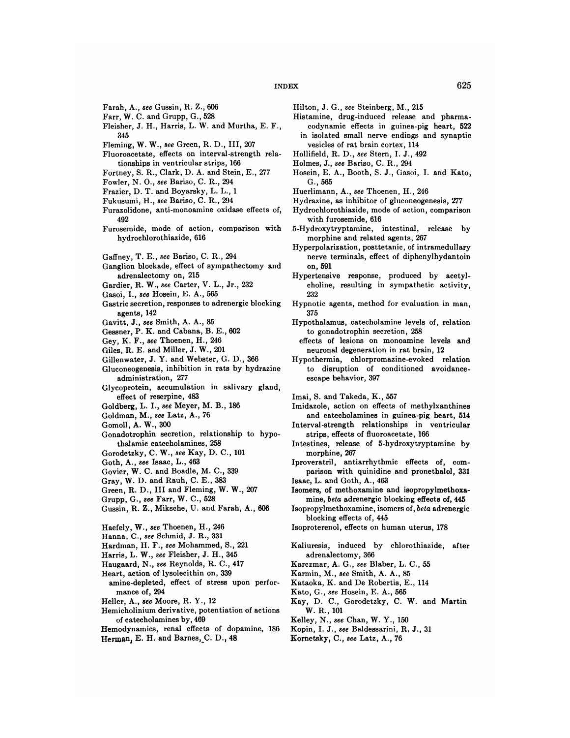- Farah, A., *see* Gussin, R. Z., 606
- Farr, W. C. and Grupp, G., 528
- Fleisher, J. H., Harris, L. W. and Murtha, E. F., 345
- Fleming, W. W., *see* Green, R. D., III, 207
- Fluoroacetate, effects on interval-strength relationships in ventricular strips, 166
- Fortney, S. R., Clark, D. A. and Stein, E., 277
- Fowler, N. 0., *see* Bariso, C. R., 294
- Frazier, D. T. and Boyarsky, L. L., 1
- Fukusumi, H., *see* Bariso, C. R., 294
- Furazolidone, anti-monoamine oxidase effects of, 492
- Furosemide, mode of action, comparison with hydrochlorothiazide, 616
- Gaffney, T. E., *see* Bariso, C. R., 294
- Ganglion blockade, effect of sympathectomy and adrenalectomy on, 215
- Gardier, R. W., *see* Carter, V. L., Jr., 232
- Gasoi, I., *see* Hosein, E. A., 565
- Gastric secretion, responses to adrenergic blocking agents, 142
- Gavitt, J., *see* Smith, A. A., 85
- Gessner, P. K. and Cabana, B. E., 602
- Gey, K. F., *see* Thoenen, H., 246
- Giles, R. E. and Miller, J. W., 201
- Gillenwater, J. Y. and Webster, G. D., 366
- Gluconeogenesis, inhibition in rats by hydrazine administration, 277
- Glycoprotein, accumulation in salivary gland, effect of reserpine, 483
- Goldberg, L. I., *see* Meyer, M. B., 186
- Goldman, M., *see* Latz, A., 76
- Gomoli, A. W., 300
- Gonadotrophin secretion, relationship to hypothalarnic catecholamines, 258
- Gorodetzky, C. W., *see* Kay, D. C., 101
- Goth, A., *see* Isaac, L., 463
- Govier, W. C. and Boadle, M. C., 339
- **Gray, W. D. and Rauh, C. E., 383**
- Green, R. D., III and Fleming, W. W., 207
- Grupp, G., *see* Farr, W. C., 528
- Gussin, R. Z., Miksche, U. and Farah, A., 606
- Haefely, W., *see* Thoenen, H., 246
- **Hanna, C.,** *see* Schmid, J. R., **331**
- Hardman, H. F., *see* Mohammed, S., 221
- Harris, L. W., *see* Fleisher, J. H., 345
- Haugaard, N., *see* Reynolds, R. C., 417
- Heart, action of lysolecithin on, 339
- amine-depleted, effect of stress upon perfor mance of, 294
- Heller, A., *see* Moore, R. Y., 12
- Hemicholinium derivative, potentiation of actions of catecholamines by, 469
- Hemodynamics, renal effects of dopamine, 186
- Herman, E. H. and Barnes, C. D., 48
- Hilton, J. G., *see* Steinberg, M., 215
- Histamine, drug-induced release and pharmacodynamic effects in guinea-pig heart, 522
- in isolated small nerve endings and synaptic vesicles of rat brain cortex, 114
- Hollifield, R. D., *see* Stern, I. J., 492
- Holmes, J., *see* Bariso, C. R., 294
- Hosein, E. A., Booth, S. J., Gasoi, I. and Kato, G., 565
- Huerlimann, A., *see* Thoenen, H., 246
- Hydrazine, as inhibitor of gluconeogenesis, 277
- Hydrochlorothiazide, mode of action, comparison with furosemide, 616
- 5-Hydroxytryptamine, intestinal, release by morphine and related agents, 267
- Hyperpolarization, posttetanic, of intramedullary nerve terminals, effect of diphenylhydantoin on, 591
- Hypertensive response, produced by acetylcholine, resulting in sympathetic activity, 232
- Hypnotic agents, method for evaluation in man, 375
- Hypothalamus, catecholamine levels of, relation to gonadotrophin secretion, 258
- effects of lesions on monoamine levels and neuronal degeneration in rat brain, 12
- Hypothermia, chiorpromazine-evoked relation to disruption of conditioned avoidanceescape behavior, 397

Imai, S. and Takeda, K., 557

- Imidazole, action on effects of methylxanthines and catecholamines in guinea-pig heart, 514
- Interval-strength relationships in ventricular strips, effects of fluoroacetate, 166
- Intestines, release of 5-hydroxytryptamine by morphine, 267
- Iproveratril, antiarrhythmic effects of, comparison with quinidine and pronethalol, 331 Isaac, L. and Goth, A., 463
- Isomers, of methoxamine and isopropyimethoxa-
- mine, *beta* adrenergic blocking effects of, 445
- Isopropylmethoxamine , isomers of, *beta* adrenergic blocking effects of, 445

Isoproterenol, effects on human uterus, 178

- Kaliuresis, induced by chlorothiazide, after adrenalectomy, 366
- Karczmar, A. G., *see* Blaber, L. C., 55
- Karmin, M., *see* Smith, A. A., 85
- Kataoka, K. and De Robertis, E., 114
- Kato, G., *see* Hosein, E. A., 565
- Kay, D. C., Gorodetzky, C. W. and Martin W. R., 101
- Kelley, N., *see* Chan, W. Y., 150
- **Kopin, I. J.,** *see* Baldessarini, R. J., 31
- Kornetsky, C., *see* Latz, A., 76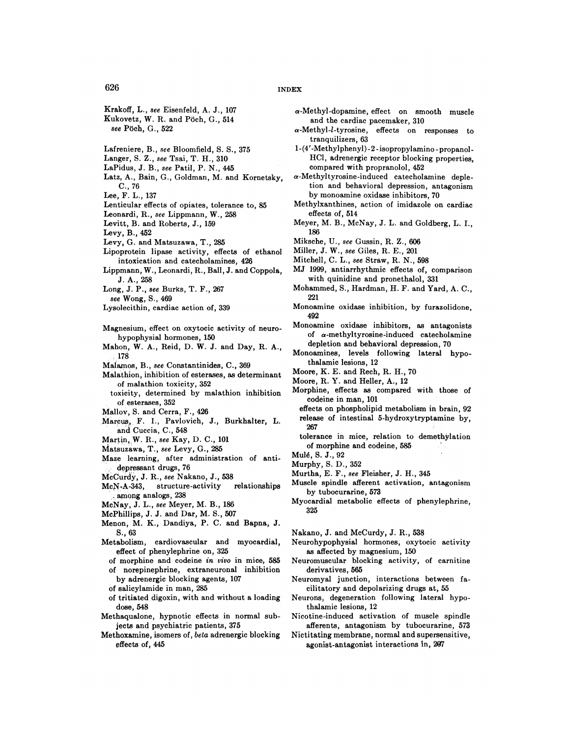## 626 **INDEX**

- Krakoff, L., *see* Eisenfeld, A. J., 107 Kukovetz, W. R. and Pöch, G., 514
- *see* Pöch, G., 522
- Lafreniere, B., *see* Bloomfield, S. S., 375
- Langer, S. Z., *see* Tsai, T. H., 310
- LaPidus, J. B., *see* Patil, P. N., 445
- Latz, A., Bain, G., Goldman, M. and Kornetsky, C., 76
- Lee, F. L., 137
- Lenticular effects of opiates, tolerance to, 85
- Leonardi, R., *see* Lippmann, W., 258
- Levitt, B. and Roberts, J., 159
- Levy, B., 452
- Levy, G. and Matsuzawa, T., 285
- Lipoprotein lipase activity, effects of ethanol intoxication and catecholamines, 426
- Lippmann, W., Leonardi, R., Ball, J. and Coppola, J. A., 258
- Long, J. P., *see* Burks, T. F., 267
- *see* **Wong, S., 469**
- Lysolecithin, cardiac action of, 339
- Magnesium, effect on oxytocic activity of neuro hypophysial hormones, 150
- Mahon, W. A., Reid, D. W. J. and Day, R. A., **.** 178
- Malamos, B., see Constantinides, C., 369
- Malathion, inhibition of esterases, as determinant **of** malathion **toxicity,** 352
- toxicity, determined by malathion inhibition of esterases, 352
- Mallov, S. and Cerra, F., 426
- Marcus, F. I., Pavlovich, J., Burkhalter, L. and Cuccia, C., 548
- Martin, W. R., see Kay, D. C., 101
- Matsuzawa, T., *see* Levy, G., 285
- Maze learning, after administration of antidepressant drugs, 76
- McCurdy, J. R., *see* Nakano, J., 538
- McN-A-343, structure-activity relationships among analogs, 238
- McNay, J. L., *see* Meyer, M. B., 186
- McPhillips, J. J. and Dar, M. S., 507
- Menon, M. K., Dandiya, P. C. and Bapna, J. S., 63
- Metabolism, cardiovascular and myocardial, effect of phenylephrine on, 325
	- of morphine and codeine *in vivo* in mice, 585
	- of norepinephrine, extraneuronal inhibition by adrenergic blocking agents, 107
	- of salicylamide in man, 285
- of tritiated digoxin, with and without a loading dose, 548
- Methaqualone, hypnotic effects in normal subjects and psychiatric patients, 375
- Methoxamine, isomers of, *beta* adrenergic blocking effects of, 445
- $\alpha$ -Methyl-dopamine, effect on smooth muscle and the cardiac pacemaker, 310
- a-Methyl-l-tyrosine, effects on responses to tranquilizers, 63
- l-(4'-Methylphenyl)-2-isopropylamino propanol-HC1, adrenergic receptor blocking properties, compared with propranolol, 452
- $\alpha$ -Methyltyrosine-induced catecholamine depletion and behavioral depression, antagonism by monoamine oxidase inhibitors, 70
- Methylxanthines, action of imidazole on cardiac effects of, 514
- Meyer, M. B., McNay, J. L. and Goldberg, L. I., 186
- Miksche, U., *see* Gussin, R. Z., 606
- Miller, J. W., *see* Giles, R. E., 201
- Mitchell, C. L., *see* Straw, R. N., 598
- MJ 1999, antiarrhythmic effects of, comparison with quinidine and pronethalol, 331
- Mohammed, S., Hardman, H. F. and Yard, A. C., 221
- Monoamine oxidase inhibition, by furazolidone, 492
- Monoamine oxidase inhibitors, as antagonists of  $\alpha$ -methyltyrosine-induced catecholamine depletion and behavioral depression, 70
- Monoamines, levels following lateral hypothalamic lesions, 12
- Moore, K. E. and Rech, R. H., 70
- Moore, R. Y. and Heller, A., 12
- Morphine, effects as compared with those of codeine in man, 101
- effects on phospholipid metabolism in brain, 92 release of intestinal 5-hydroxytryptamine by, 267
- tolerance in mice, relation to demethylation of morphine and codeine, 585
- Mulé, S. J., 92
- Murphy, S. D., 352
- Murtha, E. F., *see* Fleisher, J. H., 345
- Muscle spindle afferent activation, antagonism by tubocurarine, 573
- Myocardial metabolic effects of phenylephrine, 325

Nakano, J. and McCurdy, J. R., 538

- Neurohypophysial hormones, oxytocic activity as affected by magnesium, 150
- Neuromuscular blocking activity, of carnitine derivatives, 565
- Neuromyal junction, interactions between facilitatory and depolarizing drugs at, 55
- Neurons, degeneration following lateral hypothalamic lesions, 12
- Nicotine-induced activation of muscle spindle afferents, antagonism by tubocurarine, 573
- Nictitating membrane, normal and supersensitive, agonist-antagonist interactions in, 207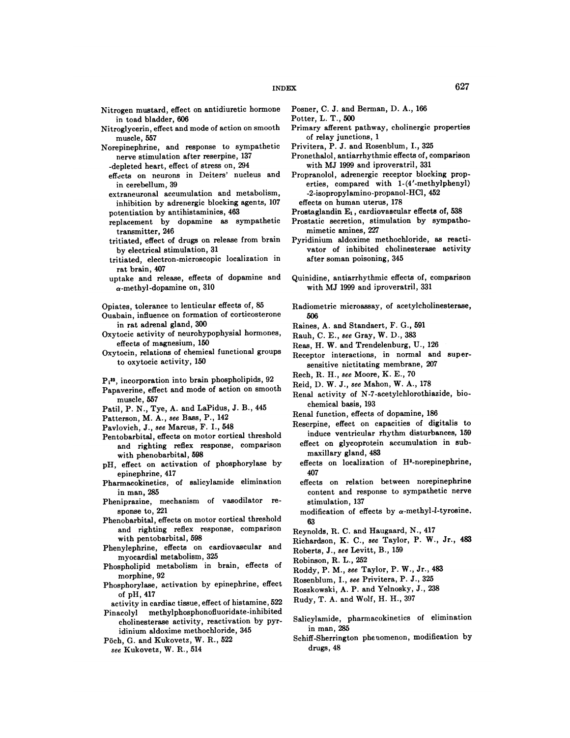- Nitrogen mustard, effect on antidiuretic hormone in toad bladder, 606
- Nitroglycerin, effect and mode of action on smooth muscle, 557
- Norepinephrine, and response to sympathetic nerve stimulation after reserpine, 137
	- -depleted heart, effect of stress on, 294
	- effects on neurons in Deiters' nucleus and in cerebellum, 39
	- extraneuronal accumulation and metabolism, inhibition by adrenergic blocking agents, 107 potentiation by antihistaminics, 463
	- replacement by dopamine as sympathetic transmitter, 246
	- tritiated, effect of drugs on release from brain by electrical stimulation, 31
	- tritiated, electron-microscopic localization in rat brain, 407
	- uptake and release, effects of dopamine and  $\alpha$ -methyl-dopamine on, 310
- Opiates, tolerance to lenticular effects of, 85
- Ouabain, influence on formation of corticosterone in ratadrenal gland, 300
- Oxytocic activity of neurohypophysial hormones, effects of magnesium, 150
- Oxytocin, relations of chemical functional groups to oxytocic activity, 150
- P<sub>1</sub>32, incorporation into brain phospholipids, 92
- Papaverine, effect and mode of action on smooth muscle, 557
- Patil, P. N., Tye, A. and LaPidus, J. B., 445
- Patterson, M. A., *see* Bass, P., 142
- **Pavlovich,** *J.,see* Marcus, F. I., 548
- Pentobarbital, effects on motor cortical threshold and righting reflex response, comparison with phenobarbital, 598
- pH, effect on activation of phosphorylase by epinephrine, 417
- Pharmacokinetics, of salicylamide elimination in man, 285
- Pheniprazine, mechanism of vasodilator re sponse to, 221
- Phenobarbital, effects on motor cortical threshold and righting reflex response, comparison with pentobarbital, 598
- Phenylephrine, effects on cardiovascular and myocardial metabolism, 325
- Phospholipid metabolism in brain, effects of morphine, 92
- Phosphorylase, activation by epinephrine, effect of pH, 417
- activity in cardiac tissue, effect of histamine, 522 Pinacolyl methylphosphonofluoridate-inhibited
- cholinesterase activity, reactivation by pyridinium aldoxime methochloride, 345
- Pöch, G. and Kukovetz, W. R., 522
	- *see* Kukovetz, W. R., 514
- Posner, C. J. and Berman, D. A., 166
- Potter, L. T., 500
- Primary afferent pathway, cholinergic properties of relay junctions, 1
- Privitera, P. J. and Rosenblum, I., 325
- Pronethalol, antiarrhythmic effects of, comparison with MJ 1999 and iproveratril, 331
- Propranolol, adrenergic receptor blocking properties, compared with 1-(4'-methylphenyl) -2-isopropylamino-propanol-HC1, 452 effects on human uterus, 178
- Prostaglandin E<sub>1</sub>, cardiovascular effects of, 538
- Prostatic secretion, stimulation by sympathomimetic amines, 227
- Pyridinium aldoxime methochloride, as reacti vator of inhibited cholinesterase activity after soman poisoning, 345
- Quinidine, antiarrhythmic effects of, comparison with MJ 1999 and iproveratril, 331
- Radiometric microassay, of acetylcholinesterase, 506
- Raines, A. and Standaert, F. G., 591
- **Rauh, C. E.,** *see* Gray, W. D., 383
- Reas, H. W. and Trendelenburg, U., 126
- Receptor interactions, in normal and super sensitive nictitating membrane, 207
- Rech, R. H., *see* Moore, K. E., 70
- Reid, D. W. J., *see* Mahon, W. A., 178
- Renal activity of N-7-acetylchlorothiazide, biochemical basis, 193
- Renal function, effects of dopamine, 186
- Reserpine, effect on capacities of digitalis to induce ventricular rhythm disturbances, 159
- effect on glycoprotein accumulation in submaxillary gland, 483
- effects on localization of H'-norepinephrine, 407
- effects on relation between norepinephrine content and response to sympathetic nerve stimulation, 137
- modification of effects by  $\alpha$ -methyl-l-tyrosine. 63
- Reynolds, R. C. and Haugaard, N., 417
- Richardson, K. C., *see* Taylor, P. W., Jr., 483
- Roberts, J., *see* Levitt, B., 159
- Robinson, R. L., 252
- Roddy, P. M., *see* Taylor, P. W., Jr., 483
- Rosenblum, I., *see* Privitera, P. J., 325
- Roszkowski, A. P. and Yelnosky, J., 238
- Rudy, T. A. and Wolf, H. H., 397
- Salicylamide, pharmacokinetics of elimination in man, 285
- Schiff-Sherrington phe nomenon, modification by drugs, 48